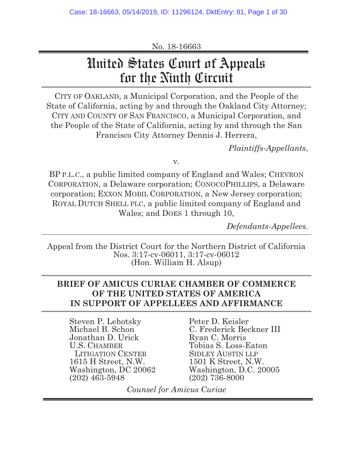No. 18-16663

# United States Court of Appeals for the Ninth Circuit

CITY OF OAKLAND, a Municipal Corporation, and the People of the State of California, acting by and through the Oakland City Attorney; CITY AND COUNTY OF SAN FRANCISCO, a Municipal Corporation, and the People of the State of California, acting by and through the San Francisco City Attorney Dennis J. Herrera,

*Plaintiffs-Appellants*,

v.

BP P.L.C., a public limited company of England and Wales; CHEVRON CORPORATION, a Delaware corporation; CONOCOPHILLIPS, a Delaware corporation; EXXON MOBIL CORPORATION, a New Jersey corporation; ROYAL DUTCH SHELL PLC, a public limited company of England and Wales; and DOES 1 through 10,

*Defendants-Appellees*.

Appeal from the District Court for the Northern District of California Nos. 3:17-cv-06011, 3:17-cv-06012 (Hon. William H. Alsup)

### **BRIEF OF AMICUS CURIAE CHAMBER OF COMMERCE OF THE UNITED STATES OF AMERICA IN SUPPORT OF APPELLEES AND AFFIRMANCE**

Steven P. Lehotsky Michael B. Schon Jonathan D. Urick U.S. CHAMBER LITIGATION CENTER 1615 H Street, N.W. Washington, DC 20062 (202) 463-5948

Peter D. Keisler C. Frederick Beckner III Ryan C. Morris Tobias S. Loss-Eaton SIDLEY AUSTIN LLP 1501 K Street, N.W. Washington, D.C. 20005 (202) 736-8000

*Counsel for Amicus Curiae*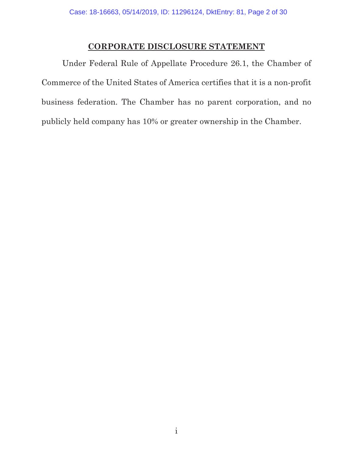### **CORPORATE DISCLOSURE STATEMENT**

<span id="page-1-0"></span>Under Federal Rule of Appellate Procedure 26.1, the Chamber of Commerce of the United States of America certifies that it is a non-profit business federation. The Chamber has no parent corporation, and no publicly held company has 10% or greater ownership in the Chamber.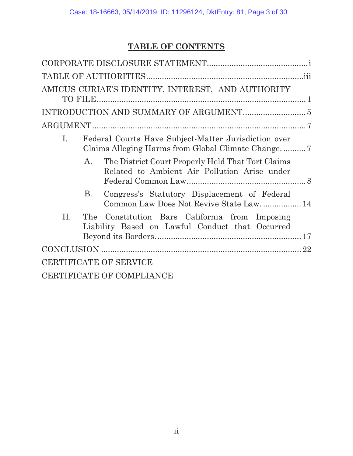## **TABLE OF CONTENTS**

|                | AMICUS CURIAE'S IDENTITY, INTEREST, AND AUTHORITY                                                                   |
|----------------|---------------------------------------------------------------------------------------------------------------------|
|                |                                                                                                                     |
|                |                                                                                                                     |
| $\mathbf{I}$ . | Federal Courts Have Subject-Matter Jurisdiction over<br>Claims Alleging Harms from Global Climate Change7           |
|                | $\mathsf{A}$ .<br>The District Court Properly Held That Tort Claims<br>Related to Ambient Air Pollution Arise under |
|                | $B_{\cdot}$<br>Congress's Statutory Displacement of Federal<br>Common Law Does Not Revive State Law 14              |
| II.            | The Constitution Bars California from Imposing<br>Liability Based on Lawful Conduct that Occurred                   |
|                |                                                                                                                     |
|                | <b>CERTIFICATE OF SERVICE</b>                                                                                       |
|                | <b>CERTIFICATE OF COMPLIANCE</b>                                                                                    |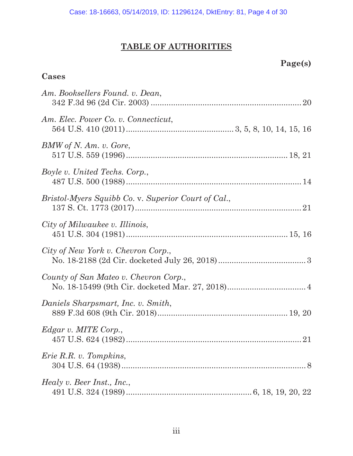## **TABLE OF AUTHORITIES**

### <span id="page-3-0"></span>**Cases**

| Am. Booksellers Found. v. Dean,                     |
|-----------------------------------------------------|
| Am. Elec. Power Co. v. Connecticut,                 |
| BMW of N. Am. v. Gore,                              |
| Boyle v. United Techs. Corp.,                       |
| Bristol-Myers Squibb Co. v. Superior Court of Cal., |
| City of Milwaukee v. Illinois,                      |
| City of New York v. Chevron Corp.,                  |
| County of San Mateo v. Chevron Corp.,               |
| Daniels Sharpsmart, Inc. v. Smith,                  |
| Edgar v. MITE Corp.,                                |
| <i>Erie R.R. v. Tompkins,</i>                       |
| Healy v. Beer Inst., Inc.,                          |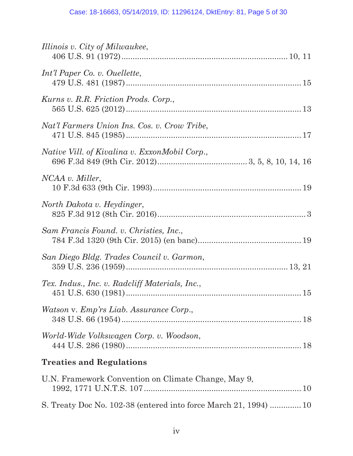| Illinois v. City of Milwaukee,                       |
|------------------------------------------------------|
| Int'l Paper Co. v. Ouellette,                        |
| Kurns v. R.R. Friction Prods. Corp.,                 |
| Nat'l Farmers Union Ins. Cos. v. Crow Tribe,         |
| <i>Native Vill. of Kivalina v. ExxonMobil Corp.,</i> |
| NCAA v. Miller,                                      |
| North Dakota v. Heydinger,                           |
| Sam Francis Found. v. Christies, Inc.,               |
| San Diego Bldg. Trades Council v. Garmon,            |
| Tex. Indus., Inc. v. Radcliff Materials, Inc.,       |
| Watson v. Emp'rs Liab. Assurance Corp.,              |
| World-Wide Volkswagen Corp. v. Woodson,              |
| <b>Treaties and Regulations</b>                      |

| U.N. Framework Convention on Climate Change, May 9,              |  |
|------------------------------------------------------------------|--|
|                                                                  |  |
|                                                                  |  |
| S. Treaty Doc No. 102-38 (entered into force March 21, 1994)  10 |  |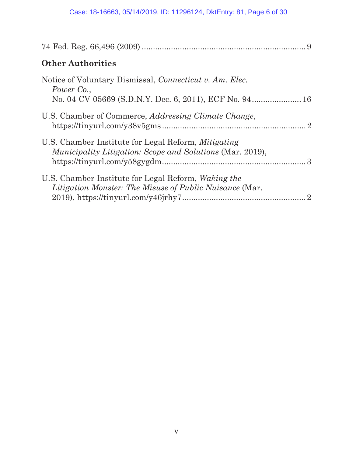| <b>Other Authorities</b>                                                                                                                       |
|------------------------------------------------------------------------------------------------------------------------------------------------|
| Notice of Voluntary Dismissal, Connecticut v. Am. Elec.<br>Power Co.,<br>No. 04-CV-05669 (S.D.N.Y. Dec. 6, 2011), ECF No. 94 16                |
| U.S. Chamber of Commerce, <i>Addressing Climate Change</i> ,                                                                                   |
| U.S. Chamber Institute for Legal Reform, <i>Mitigating</i><br><i>Municipality Litigation: Scope and Solutions (Mar. 2019),</i>                 |
| U.S. Chamber Institute for Legal Reform, <i>Waking the</i><br><i>Litigation Monster: The Misuse of Public Nuisance</i> (Mar.<br>$\overline{2}$ |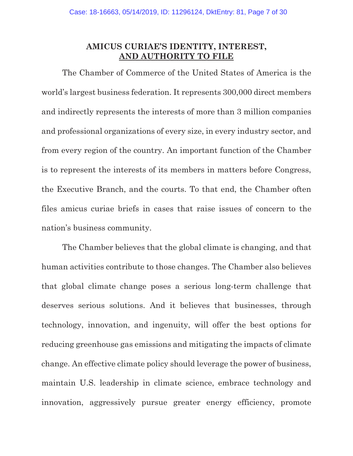#### **AMICUS CURIAE'S IDENTITY, INTEREST, AND AUTHORITY TO FILE**

<span id="page-6-0"></span>The Chamber of Commerce of the United States of America is the world's largest business federation. It represents 300,000 direct members and indirectly represents the interests of more than 3 million companies and professional organizations of every size, in every industry sector, and from every region of the country. An important function of the Chamber is to represent the interests of its members in matters before Congress, the Executive Branch, and the courts. To that end, the Chamber often files amicus curiae briefs in cases that raise issues of concern to the nation's business community.

The Chamber believes that the global climate is changing, and that human activities contribute to those changes. The Chamber also believes that global climate change poses a serious long-term challenge that deserves serious solutions. And it believes that businesses, through technology, innovation, and ingenuity, will offer the best options for reducing greenhouse gas emissions and mitigating the impacts of climate change. An effective climate policy should leverage the power of business, maintain U.S. leadership in climate science, embrace technology and innovation, aggressively pursue greater energy efficiency, promote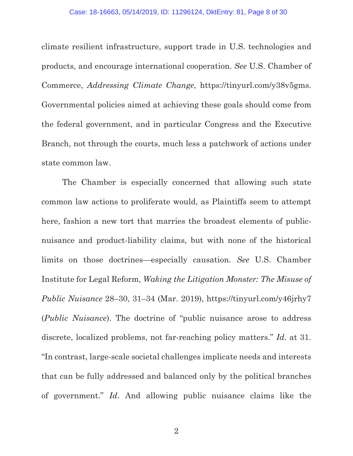climate resilient infrastructure, support trade in U.S. technologies and products, and encourage international cooperation. *See* U.S. Chamber of Commerce, *Addressing Climate Change*, https://tinyurl.com/y38v5gms. Governmental policies aimed at achieving these goals should come from the federal government, and in particular Congress and the Executive Branch, not through the courts, much less a patchwork of actions under state common law.

The Chamber is especially concerned that allowing such state common law actions to proliferate would, as Plaintiffs seem to attempt here, fashion a new tort that marries the broadest elements of publicnuisance and product-liability claims, but with none of the historical limits on those doctrines—especially causation. *See* U.S. Chamber Institute for Legal Reform, *Waking the Litigation Monster: The Misuse of Public Nuisance* 28–30, 31–34 (Mar. 2019), https://tinyurl.com/y46jrhy7 (*Public Nuisance*). The doctrine of "public nuisance arose to address discrete, localized problems, not far-reaching policy matters." *Id*. at 31. "In contrast, large-scale societal challenges implicate needs and interests that can be fully addressed and balanced only by the political branches of government." *Id*. And allowing public nuisance claims like the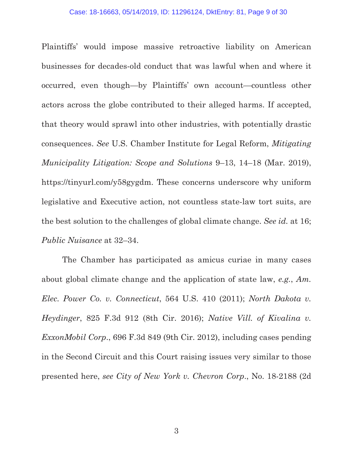Plaintiffs' would impose massive retroactive liability on American businesses for decades-old conduct that was lawful when and where it occurred, even though—by Plaintiffs' own account—countless other actors across the globe contributed to their alleged harms. If accepted, that theory would sprawl into other industries, with potentially drastic consequences. *See* U.S. Chamber Institute for Legal Reform, *Mitigating Municipality Litigation: Scope and Solutions* 9–13, 14–18 (Mar. 2019), https://tinyurl.com/y58gygdm. These concerns underscore why uniform legislative and Executive action, not countless state-law tort suits, are the best solution to the challenges of global climate change. *See id.* at 16; *Public Nuisance* at 32–34.

The Chamber has participated as amicus curiae in many cases about global climate change and the application of state law, *e.g.*, *Am. Elec. Power Co. v. Connecticut*, 564 U.S. 410 (2011); *North Dakota v. Heydinger*, 825 F.3d 912 (8th Cir. 2016); *Native Vill. of Kivalina v. ExxonMobil Corp*., 696 F.3d 849 (9th Cir. 2012), including cases pending in the Second Circuit and this Court raising issues very similar to those presented here, *see City of New York v. Chevron Corp*., No. 18-2188 (2d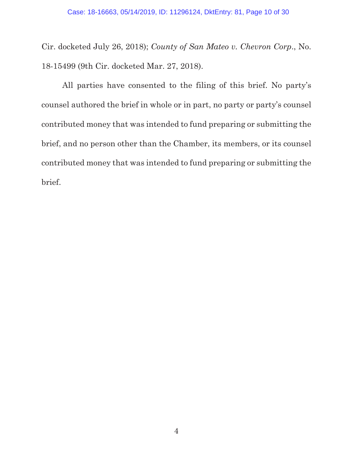Cir. docketed July 26, 2018); *County of San Mateo v. Chevron Corp*., No. 18-15499 (9th Cir. docketed Mar. 27, 2018).

All parties have consented to the filing of this brief. No party's counsel authored the brief in whole or in part, no party or party's counsel contributed money that was intended to fund preparing or submitting the brief, and no person other than the Chamber, its members, or its counsel contributed money that was intended to fund preparing or submitting the brief.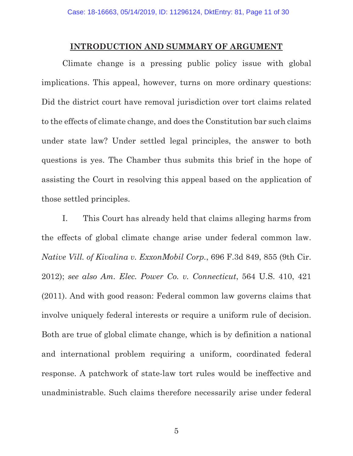#### **INTRODUCTION AND SUMMARY OF ARGUMENT**

<span id="page-10-0"></span>Climate change is a pressing public policy issue with global implications. This appeal, however, turns on more ordinary questions: Did the district court have removal jurisdiction over tort claims related to the effects of climate change, and does the Constitution bar such claims under state law? Under settled legal principles, the answer to both questions is yes. The Chamber thus submits this brief in the hope of assisting the Court in resolving this appeal based on the application of those settled principles.

I. This Court has already held that claims alleging harms from the effects of global climate change arise under federal common law. *Native Vill. of Kivalina v. ExxonMobil Corp.*, 696 F.3d 849, 855 (9th Cir. 2012); *see also Am. Elec. Power Co. v. Connecticut*, 564 U.S. 410, 421 (2011). And with good reason: Federal common law governs claims that involve uniquely federal interests or require a uniform rule of decision. Both are true of global climate change, which is by definition a national and international problem requiring a uniform, coordinated federal response. A patchwork of state-law tort rules would be ineffective and unadministrable. Such claims therefore necessarily arise under federal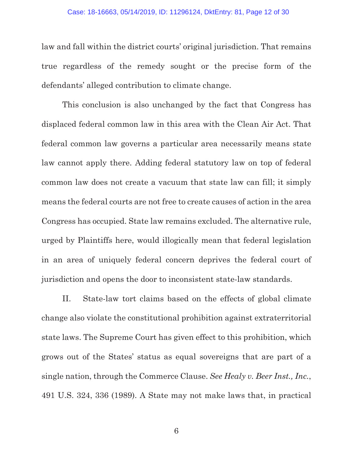law and fall within the district courts' original jurisdiction. That remains true regardless of the remedy sought or the precise form of the defendants' alleged contribution to climate change.

This conclusion is also unchanged by the fact that Congress has displaced federal common law in this area with the Clean Air Act. That federal common law governs a particular area necessarily means state law cannot apply there. Adding federal statutory law on top of federal common law does not create a vacuum that state law can fill; it simply means the federal courts are not free to create causes of action in the area Congress has occupied. State law remains excluded. The alternative rule, urged by Plaintiffs here, would illogically mean that federal legislation in an area of uniquely federal concern deprives the federal court of jurisdiction and opens the door to inconsistent state-law standards.

II. State-law tort claims based on the effects of global climate change also violate the constitutional prohibition against extraterritorial state laws. The Supreme Court has given effect to this prohibition, which grows out of the States' status as equal sovereigns that are part of a single nation, through the Commerce Clause. *See Healy v. Beer Inst., Inc.*, 491 U.S. 324, 336 (1989). A State may not make laws that, in practical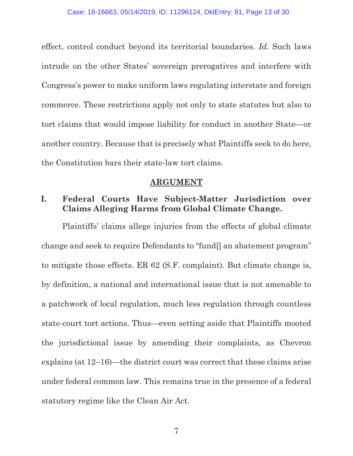<span id="page-12-0"></span>effect, control conduct beyond its territorial boundaries. *Id.* Such laws intrude on the other States' sovereign prerogatives and interfere with Congress's power to make uniform laws regulating interstate and foreign commerce. These restrictions apply not only to state statutes but also to tort claims that would impose liability for conduct in another State—or another country. Because that is precisely what Plaintiffs seek to do here, the Constitution bars their state-law tort claims.

#### **ARGUMENT**

### **I. Federal Courts Have Subject-Matter Jurisdiction over Claims Alleging Harms from Global Climate Change.**

Plaintiffs' claims allege injuries from the effects of global climate change and seek to require Defendants to "fund[] an abatement program" to mitigate those effects. ER 62 (S.F. complaint). But climate change is, by definition, a national and international issue that is not amenable to a patchwork of local regulation, much less regulation through countless state-court tort actions. Thus—even setting aside that Plaintiffs mooted the jurisdictional issue by amending their complaints, as Chevron explains (at 12–16)—the district court was correct that these claims arise under federal common law. This remains true in the presence of a federal statutory regime like the Clean Air Act.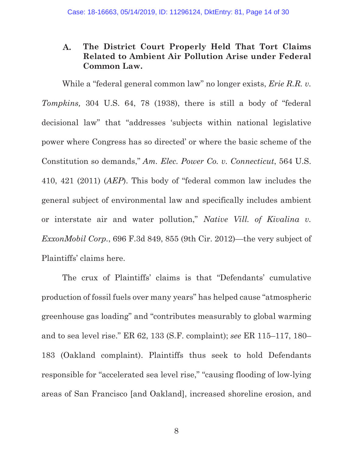#### <span id="page-13-0"></span>**The District Court Properly Held That Tort Claims Related to Ambient Air Pollution Arise under Federal Common Law. \$**

While a "federal general common law" no longer exists, *Erie R.R. v. Tompkins,* 304 U.S. 64, 78 (1938), there is still a body of "federal decisional law" that "addresses 'subjects within national legislative power where Congress has so directed' or where the basic scheme of the Constitution so demands," *Am. Elec. Power Co. v. Connecticut*, 564 U.S. 410, 421 (2011) (*AEP*). This body of "federal common law includes the general subject of environmental law and specifically includes ambient or interstate air and water pollution," *Native Vill. of Kivalina v. ExxonMobil Corp.*, 696 F.3d 849, 855 (9th Cir. 2012)—the very subject of Plaintiffs' claims here.

The crux of Plaintiffs' claims is that "Defendants' cumulative production of fossil fuels over many years" has helped cause "atmospheric greenhouse gas loading" and "contributes measurably to global warming and to sea level rise." ER 62, 133 (S.F. complaint); *see* ER 115–117, 180– 183 (Oakland complaint). Plaintiffs thus seek to hold Defendants responsible for "accelerated sea level rise," "causing flooding of low-lying areas of San Francisco [and Oakland], increased shoreline erosion, and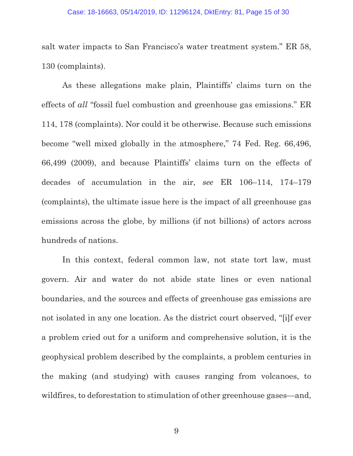#### Case: 18-16663, 05/14/2019, ID: 11296124, DktEntry: 81, Page 15 of 30

salt water impacts to San Francisco's water treatment system." ER 58, 130 (complaints).

As these allegations make plain, Plaintiffs' claims turn on the effects of *all* "fossil fuel combustion and greenhouse gas emissions." ER 114, 178 (complaints). Nor could it be otherwise. Because such emissions become "well mixed globally in the atmosphere," 74 Fed. Reg. 66,496, 66,499 (2009), and because Plaintiffs' claims turn on the effects of decades of accumulation in the air, *see* ER 106–114, 174–179 (complaints), the ultimate issue here is the impact of all greenhouse gas emissions across the globe, by millions (if not billions) of actors across hundreds of nations.

In this context, federal common law, not state tort law, must govern. Air and water do not abide state lines or even national boundaries, and the sources and effects of greenhouse gas emissions are not isolated in any one location. As the district court observed, "[i]f ever a problem cried out for a uniform and comprehensive solution, it is the geophysical problem described by the complaints, a problem centuries in the making (and studying) with causes ranging from volcanoes, to wildfires, to deforestation to stimulation of other greenhouse gases—and,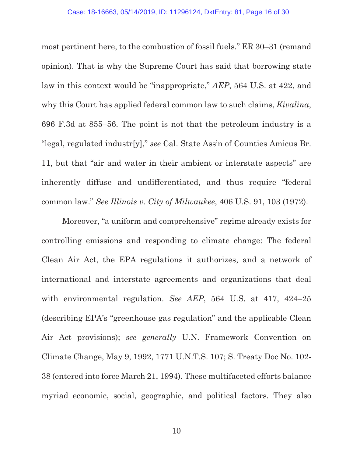most pertinent here, to the combustion of fossil fuels." ER 30–31 (remand opinion). That is why the Supreme Court has said that borrowing state law in this context would be "inappropriate," *AEP*, 564 U.S. at 422, and why this Court has applied federal common law to such claims, *Kivalina*, 696 F.3d at 855–56. The point is not that the petroleum industry is a "legal, regulated industr[y]," *see* Cal. State Ass'n of Counties Amicus Br. 11, but that "air and water in their ambient or interstate aspects" are inherently diffuse and undifferentiated, and thus require "federal common law." *See Illinois v. City of Milwaukee*, 406 U.S. 91, 103 (1972).

Moreover, "a uniform and comprehensive" regime already exists for controlling emissions and responding to climate change: The federal Clean Air Act, the EPA regulations it authorizes, and a network of international and interstate agreements and organizations that deal with environmental regulation. *See AEP*, 564 U.S. at 417, 424–25 (describing EPA's "greenhouse gas regulation" and the applicable Clean Air Act provisions); *see generally* U.N. Framework Convention on Climate Change, May 9, 1992, 1771 U.N.T.S. 107; S. Treaty Doc No. 102- 38 (entered into force March 21, 1994). These multifaceted efforts balance myriad economic, social, geographic, and political factors. They also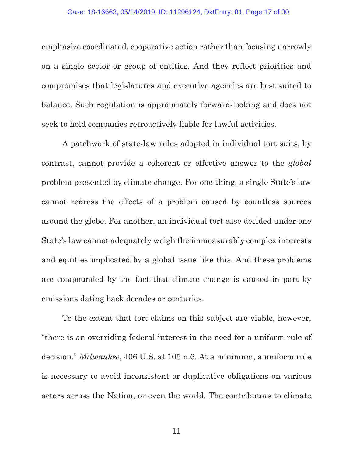emphasize coordinated, cooperative action rather than focusing narrowly on a single sector or group of entities. And they reflect priorities and compromises that legislatures and executive agencies are best suited to balance. Such regulation is appropriately forward-looking and does not seek to hold companies retroactively liable for lawful activities.

A patchwork of state-law rules adopted in individual tort suits, by contrast, cannot provide a coherent or effective answer to the *global* problem presented by climate change. For one thing, a single State's law cannot redress the effects of a problem caused by countless sources around the globe. For another, an individual tort case decided under one State's law cannot adequately weigh the immeasurably complex interests and equities implicated by a global issue like this. And these problems are compounded by the fact that climate change is caused in part by emissions dating back decades or centuries.

To the extent that tort claims on this subject are viable, however, "there is an overriding federal interest in the need for a uniform rule of decision." *Milwaukee*, 406 U.S. at 105 n.6. At a minimum, a uniform rule is necessary to avoid inconsistent or duplicative obligations on various actors across the Nation, or even the world. The contributors to climate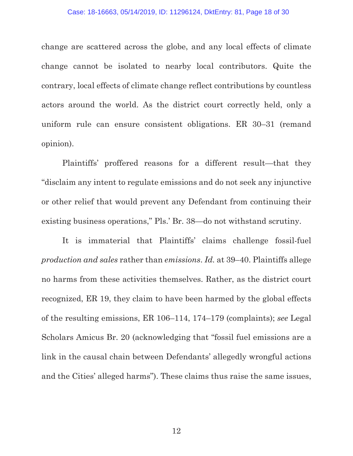#### Case: 18-16663, 05/14/2019, ID: 11296124, DktEntry: 81, Page 18 of 30

change are scattered across the globe, and any local effects of climate change cannot be isolated to nearby local contributors. Quite the contrary, local effects of climate change reflect contributions by countless actors around the world. As the district court correctly held, only a uniform rule can ensure consistent obligations. ER 30–31 (remand opinion).

Plaintiffs' proffered reasons for a different result—that they "disclaim any intent to regulate emissions and do not seek any injunctive or other relief that would prevent any Defendant from continuing their existing business operations," Pls.' Br. 38—do not withstand scrutiny.

It is immaterial that Plaintiffs' claims challenge fossil-fuel *production and sales* rather than *emissions*. *Id.* at 39–40. Plaintiffs allege no harms from these activities themselves. Rather, as the district court recognized, ER 19, they claim to have been harmed by the global effects of the resulting emissions, ER 106–114, 174–179 (complaints); *see* Legal Scholars Amicus Br. 20 (acknowledging that "fossil fuel emissions are a link in the causal chain between Defendants' allegedly wrongful actions and the Cities' alleged harms"). These claims thus raise the same issues,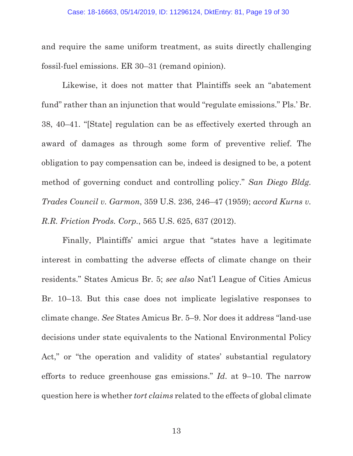and require the same uniform treatment, as suits directly challenging fossil-fuel emissions. ER 30–31 (remand opinion).

Likewise, it does not matter that Plaintiffs seek an "abatement fund" rather than an injunction that would "regulate emissions." Pls.' Br. 38, 40–41. "[State] regulation can be as effectively exerted through an award of damages as through some form of preventive relief. The obligation to pay compensation can be, indeed is designed to be, a potent method of governing conduct and controlling policy." *San Diego Bldg. Trades Council v. Garmon*, 359 U.S. 236, 246–47 (1959); *accord Kurns v. R.R. Friction Prods. Corp.*, 565 U.S. 625, 637 (2012).

Finally, Plaintiffs' amici argue that "states have a legitimate interest in combatting the adverse effects of climate change on their residents." States Amicus Br. 5; *see also* Nat'l League of Cities Amicus Br. 10–13. But this case does not implicate legislative responses to climate change. *See* States Amicus Br. 5–9. Nor does it address "land-use decisions under state equivalents to the National Environmental Policy Act," or "the operation and validity of states' substantial regulatory efforts to reduce greenhouse gas emissions." *Id*. at 9–10. The narrow question here is whether *tort claims* related to the effects of global climate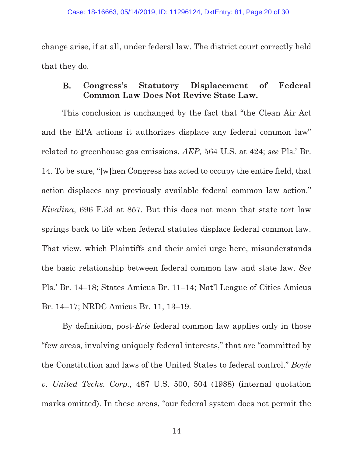<span id="page-19-0"></span>change arise, if at all, under federal law. The district court correctly held that they do.

#### **Congress's Statutory Displacement of Federal Common Law Does Not Revive State Law. %**

This conclusion is unchanged by the fact that "the Clean Air Act and the EPA actions it authorizes displace any federal common law" related to greenhouse gas emissions. *AEP*, 564 U.S. at 424; *see* Pls.' Br. 14. To be sure, "[w]hen Congress has acted to occupy the entire field, that action displaces any previously available federal common law action." *Kivalina*, 696 F.3d at 857. But this does not mean that state tort law springs back to life when federal statutes displace federal common law. That view, which Plaintiffs and their amici urge here, misunderstands the basic relationship between federal common law and state law. *See* Pls.' Br. 14–18; States Amicus Br. 11–14; Nat'l League of Cities Amicus Br. 14–17; NRDC Amicus Br. 11, 13–19.

By definition, post-*Erie* federal common law applies only in those "few areas, involving uniquely federal interests," that are "committed by the Constitution and laws of the United States to federal control." *Boyle v. United Techs. Corp.*, 487 U.S. 500, 504 (1988) (internal quotation marks omitted). In these areas, "our federal system does not permit the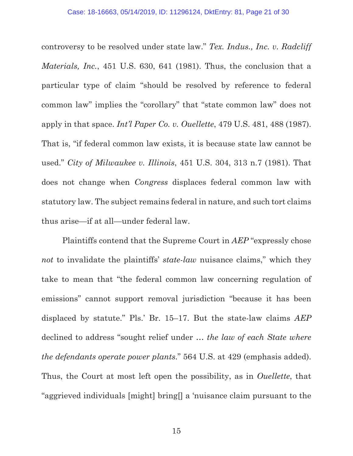controversy to be resolved under state law." *Tex. Indus., Inc. v. Radcliff Materials, Inc.*, 451 U.S. 630, 641 (1981). Thus, the conclusion that a particular type of claim "should be resolved by reference to federal common law" implies the "corollary" that "state common law" does not apply in that space. *Int'l Paper Co. v. Ouellette*, 479 U.S. 481, 488 (1987). That is, "if federal common law exists, it is because state law cannot be used." *City of Milwaukee v. Illinois*, 451 U.S. 304, 313 n.7 (1981). That does not change when *Congress* displaces federal common law with statutory law. The subject remains federal in nature, and such tort claims thus arise—if at all—under federal law.

Plaintiffs contend that the Supreme Court in *AEP* "expressly chose *not* to invalidate the plaintiffs' *state-law* nuisance claims," which they take to mean that "the federal common law concerning regulation of emissions" cannot support removal jurisdiction "because it has been displaced by statute." Pls.' Br. 15–17. But the state-law claims *AEP* declined to address "sought relief under … *the law of each State where the defendants operate power plants*." 564 U.S. at 429 (emphasis added). Thus, the Court at most left open the possibility, as in *Ouellette*, that "aggrieved individuals [might] bring[] a 'nuisance claim pursuant to the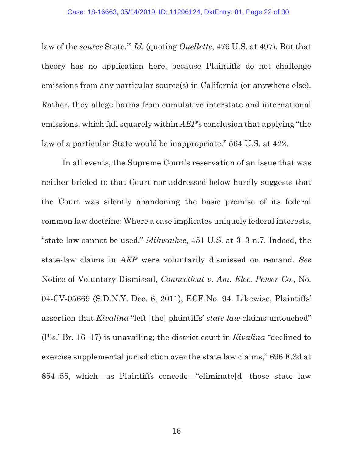law of the *source* State.'" *Id*. (quoting *Ouellette*, 479 U.S. at 497). But that theory has no application here, because Plaintiffs do not challenge emissions from any particular source(s) in California (or anywhere else). Rather, they allege harms from cumulative interstate and international emissions, which fall squarely within *AEP*'s conclusion that applying "the law of a particular State would be inappropriate." 564 U.S. at 422.

In all events, the Supreme Court's reservation of an issue that was neither briefed to that Court nor addressed below hardly suggests that the Court was silently abandoning the basic premise of its federal common law doctrine: Where a case implicates uniquely federal interests, "state law cannot be used." *Milwaukee*, 451 U.S. at 313 n.7. Indeed, the state-law claims in *AEP* were voluntarily dismissed on remand. *See*  Notice of Voluntary Dismissal, *Connecticut v. Am. Elec. Power Co.*, No. 04-CV-05669 (S.D.N.Y. Dec. 6, 2011), ECF No. 94. Likewise, Plaintiffs' assertion that *Kivalina* "left [the] plaintiffs' *state-law* claims untouched" (Pls.' Br. 16–17) is unavailing; the district court in *Kivalina* "declined to exercise supplemental jurisdiction over the state law claims," 696 F.3d at 854–55, which—as Plaintiffs concede—"eliminate[d] those state law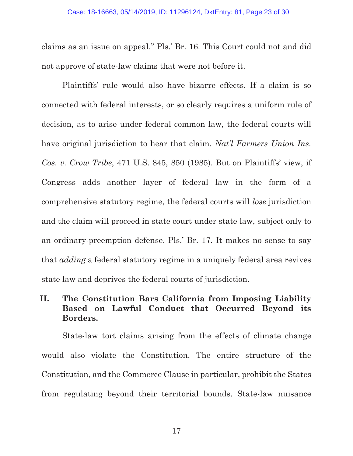<span id="page-22-0"></span>claims as an issue on appeal." Pls.' Br. 16. This Court could not and did not approve of state-law claims that were not before it.

Plaintiffs' rule would also have bizarre effects. If a claim is so connected with federal interests, or so clearly requires a uniform rule of decision, as to arise under federal common law, the federal courts will have original jurisdiction to hear that claim. *Nat'l Farmers Union Ins. Cos. v. Crow Tribe*, 471 U.S. 845, 850 (1985). But on Plaintiffs' view, if Congress adds another layer of federal law in the form of a comprehensive statutory regime, the federal courts will *lose* jurisdiction and the claim will proceed in state court under state law, subject only to an ordinary-preemption defense. Pls.' Br. 17. It makes no sense to say that *adding* a federal statutory regime in a uniquely federal area revives state law and deprives the federal courts of jurisdiction.

### **II. The Constitution Bars California from Imposing Liability Based on Lawful Conduct that Occurred Beyond its Borders.**

State-law tort claims arising from the effects of climate change would also violate the Constitution. The entire structure of the Constitution, and the Commerce Clause in particular, prohibit the States from regulating beyond their territorial bounds. State-law nuisance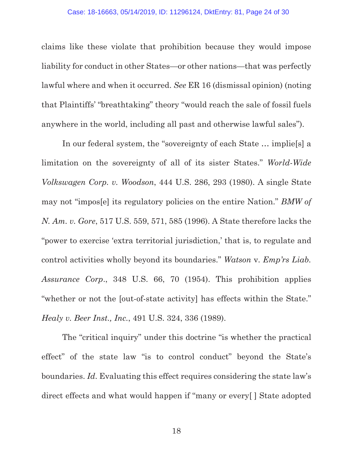claims like these violate that prohibition because they would impose liability for conduct in other States—or other nations—that was perfectly lawful where and when it occurred. *See* ER 16 (dismissal opinion) (noting that Plaintiffs' "breathtaking" theory "would reach the sale of fossil fuels anywhere in the world, including all past and otherwise lawful sales").

In our federal system, the "sovereignty of each State … implie[s] a limitation on the sovereignty of all of its sister States." *World-Wide Volkswagen Corp. v. Woodson*, 444 U.S. 286, 293 (1980). A single State may not "impos[e] its regulatory policies on the entire Nation." *BMW of N. Am. v. Gore*, 517 U.S. 559, 571, 585 (1996). A State therefore lacks the "power to exercise 'extra territorial jurisdiction,' that is, to regulate and control activities wholly beyond its boundaries." *Watson* v. *Emp'rs Liab. Assurance Corp*., 348 U.S. 66, 70 (1954). This prohibition applies "whether or not the [out-of-state activity] has effects within the State." *Healy v. Beer Inst., Inc.*, 491 U.S. 324, 336 (1989).

The "critical inquiry" under this doctrine "is whether the practical effect" of the state law "is to control conduct" beyond the State's boundaries. *Id*. Evaluating this effect requires considering the state law's direct effects and what would happen if "many or every[ ] State adopted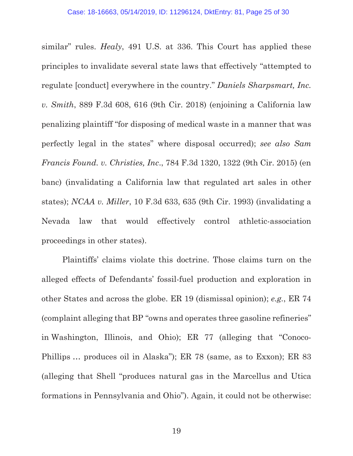similar" rules. *Healy*, 491 U.S. at 336. This Court has applied these principles to invalidate several state laws that effectively "attempted to regulate [conduct] everywhere in the country." *Daniels Sharpsmart, Inc. v. Smith*, 889 F.3d 608, 616 (9th Cir. 2018) (enjoining a California law penalizing plaintiff "for disposing of medical waste in a manner that was perfectly legal in the states" where disposal occurred); *see also Sam Francis Found. v. Christies, Inc*., 784 F.3d 1320, 1322 (9th Cir. 2015) (en banc) (invalidating a California law that regulated art sales in other states); *NCAA v. Miller*, 10 F.3d 633, 635 (9th Cir. 1993) (invalidating a Nevada law that would effectively control athletic-association proceedings in other states).

Plaintiffs' claims violate this doctrine. Those claims turn on the alleged effects of Defendants' fossil-fuel production and exploration in other States and across the globe. ER 19 (dismissal opinion); *e.g.*, ER 74 (complaint alleging that BP "owns and operates three gasoline refineries" in Washington, Illinois, and Ohio); ER 77 (alleging that "Conoco-Phillips … produces oil in Alaska"); ER 78 (same, as to Exxon); ER 83 (alleging that Shell "produces natural gas in the Marcellus and Utica formations in Pennsylvania and Ohio"). Again, it could not be otherwise: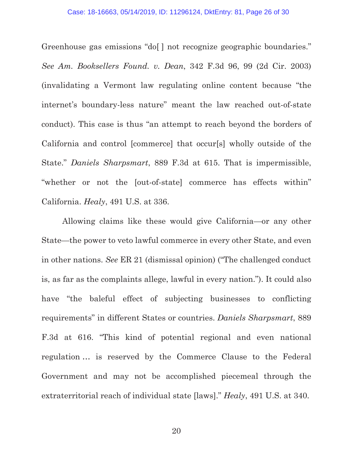Greenhouse gas emissions "do[] not recognize geographic boundaries." *See Am. Booksellers Found. v. Dean*, 342 F.3d 96, 99 (2d Cir. 2003) (invalidating a Vermont law regulating online content because "the internet's boundary-less nature" meant the law reached out-of-state conduct). This case is thus "an attempt to reach beyond the borders of California and control [commerce] that occur[s] wholly outside of the State." *Daniels Sharpsmart*, 889 F.3d at 615. That is impermissible, "whether or not the [out-of-state] commerce has effects within" California. *Healy*, 491 U.S. at 336.

Allowing claims like these would give California—or any other State—the power to veto lawful commerce in every other State, and even in other nations. *See* ER 21 (dismissal opinion) ("The challenged conduct is, as far as the complaints allege, lawful in every nation."). It could also have "the baleful effect of subjecting businesses to conflicting requirements" in different States or countries. *Daniels Sharpsmart*, 889 F.3d at 616. "This kind of potential regional and even national regulation … is reserved by the Commerce Clause to the Federal Government and may not be accomplished piecemeal through the extraterritorial reach of individual state [laws]." *Healy*, 491 U.S. at 340.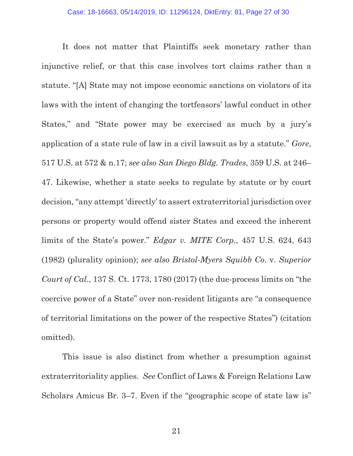It does not matter that Plaintiffs seek monetary rather than injunctive relief, or that this case involves tort claims rather than a statute. "[A] State may not impose economic sanctions on violators of its laws with the intent of changing the tortfeasors' lawful conduct in other States," and "State power may be exercised as much by a jury's application of a state rule of law in a civil lawsuit as by a statute." *Gore*, 517 U.S. at 572 & n.17; *see also San Diego Bldg. Trades*, 359 U.S. at 246– 47. Likewise, whether a state seeks to regulate by statute or by court decision, "any attempt 'directly' to assert extraterritorial jurisdiction over persons or property would offend sister States and exceed the inherent limits of the State's power." *Edgar v. MITE Corp.*, 457 U.S. 624, 643 (1982) (plurality opinion); *see also Bristol-Myers Squibb Co*. v. *Superior Court of Cal*., 137 S. Ct. 1773, 1780 (2017) (the due-process limits on "the coercive power of a State" over non-resident litigants are "a consequence of territorial limitations on the power of the respective States") (citation omitted).

This issue is also distinct from whether a presumption against extraterritoriality applies. *See* Conflict of Laws & Foreign Relations Law Scholars Amicus Br. 3–7. Even if the "geographic scope of state law is"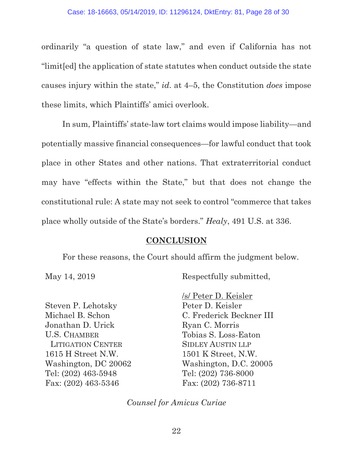<span id="page-27-0"></span>ordinarily "a question of state law," and even if California has not "limit[ed] the application of state statutes when conduct outside the state causes injury within the state," *id*. at 4–5, the Constitution *does* impose these limits, which Plaintiffs' amici overlook.

In sum, Plaintiffs' state-law tort claims would impose liability—and potentially massive financial consequences—for lawful conduct that took place in other States and other nations. That extraterritorial conduct may have "effects within the State," but that does not change the constitutional rule: A state may not seek to control "commerce that takes place wholly outside of the State's borders." *Healy*, 491 U.S. at 336.

#### **CONCLUSION**

For these reasons, the Court should affirm the judgment below.

May 14, 2019

Respectfully submitted,

Steven P. Lehotsky Michael B. Schon Jonathan D. Urick U.S. CHAMBER LITIGATION CENTER 1615 H Street N.W. Washington, DC 20062 Tel: (202) 463-5948 Fax: (202) 463-5346

/s/ Peter D. Keisler Peter D. Keisler C. Frederick Beckner III Ryan C. Morris Tobias S. Loss-Eaton SIDLEY AUSTIN LLP 1501 K Street, N.W. Washington, D.C. 20005 Tel: (202) 736-8000 Fax: (202) 736-8711

*Counsel for Amicus Curiae*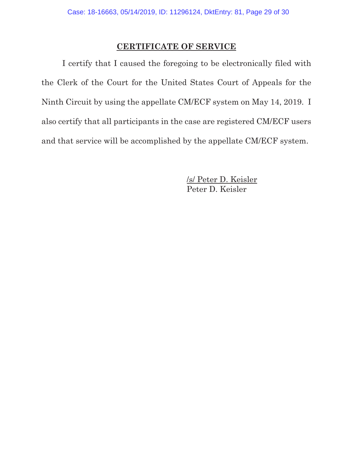#### **CERTIFICATE OF SERVICE**

<span id="page-28-0"></span>I certify that I caused the foregoing to be electronically filed with the Clerk of the Court for the United States Court of Appeals for the Ninth Circuit by using the appellate CM/ECF system on May 14, 2019. I also certify that all participants in the case are registered CM/ECF users and that service will be accomplished by the appellate CM/ECF system.

> /s/ Peter D. Keisler Peter D. Keisler